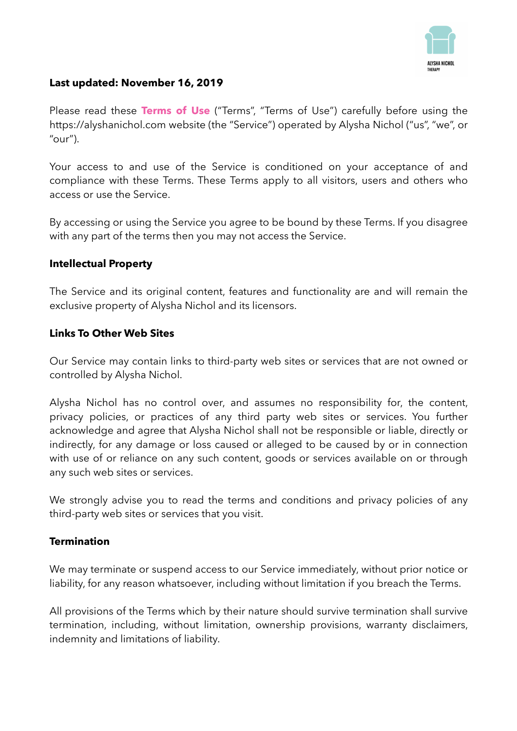

#### **Last updated: November 16, 2019**

Please read these **Terms of Use** ("Terms", "Terms of Use") carefully before using the https://alyshanichol.com website (the "Service") operated by Alysha Nichol ("us", "we", or " $our$ ").

Your access to and use of the Service is conditioned on your acceptance of and compliance with these Terms. These Terms apply to all visitors, users and others who access or use the Service.

By accessing or using the Service you agree to be bound by these Terms. If you disagree with any part of the terms then you may not access the Service.

#### **Intellectual Property**

The Service and its original content, features and functionality are and will remain the exclusive property of Alysha Nichol and its licensors.

# **Links To Other Web Sites**

Our Service may contain links to third-party web sites or services that are not owned or controlled by Alysha Nichol.

Alysha Nichol has no control over, and assumes no responsibility for, the content, privacy policies, or practices of any third party web sites or services. You further acknowledge and agree that Alysha Nichol shall not be responsible or liable, directly or indirectly, for any damage or loss caused or alleged to be caused by or in connection with use of or reliance on any such content, goods or services available on or through any such web sites or services.

We strongly advise you to read the terms and conditions and privacy policies of any third-party web sites or services that you visit.

#### **Termination**

We may terminate or suspend access to our Service immediately, without prior notice or liability, for any reason whatsoever, including without limitation if you breach the Terms.

All provisions of the Terms which by their nature should survive termination shall survive termination, including, without limitation, ownership provisions, warranty disclaimers, indemnity and limitations of liability.